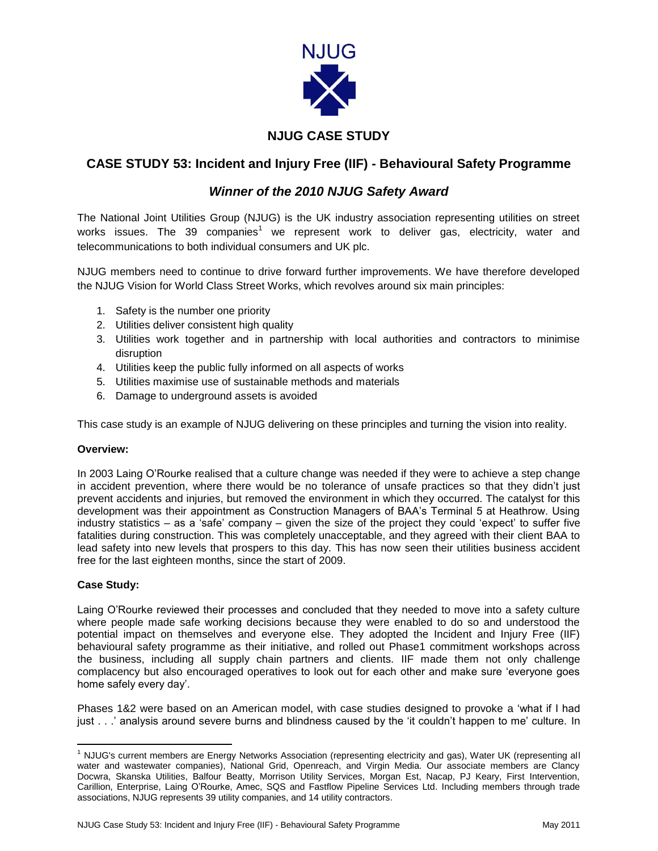

## **NJUG CASE STUDY**

# **CASE STUDY 53: Incident and Injury Free (IIF) - Behavioural Safety Programme**

## *Winner of the 2010 NJUG Safety Award*

The National Joint Utilities Group (NJUG) is the UK industry association representing utilities on street works issues. The 39 companies<sup>1</sup> we represent work to deliver gas, electricity, water and telecommunications to both individual consumers and UK plc.

NJUG members need to continue to drive forward further improvements. We have therefore developed the NJUG Vision for World Class Street Works, which revolves around six main principles:

- 1. Safety is the number one priority
- 2. Utilities deliver consistent high quality
- 3. Utilities work together and in partnership with local authorities and contractors to minimise disruption
- 4. Utilities keep the public fully informed on all aspects of works
- 5. Utilities maximise use of sustainable methods and materials
- 6. Damage to underground assets is avoided

This case study is an example of NJUG delivering on these principles and turning the vision into reality.

#### **Overview:**

In 2003 Laing O'Rourke realised that a culture change was needed if they were to achieve a step change in accident prevention, where there would be no tolerance of unsafe practices so that they didn't just prevent accidents and injuries, but removed the environment in which they occurred. The catalyst for this development was their appointment as Construction Managers of BAA's Terminal 5 at Heathrow. Using industry statistics – as a 'safe' company – given the size of the project they could 'expect' to suffer five fatalities during construction. This was completely unacceptable, and they agreed with their client BAA to lead safety into new levels that prospers to this day. This has now seen their utilities business accident free for the last eighteen months, since the start of 2009.

### **Case Study:**

Laing O'Rourke reviewed their processes and concluded that they needed to move into a safety culture where people made safe working decisions because they were enabled to do so and understood the potential impact on themselves and everyone else. They adopted the Incident and Injury Free (IIF) behavioural safety programme as their initiative, and rolled out Phase1 commitment workshops across the business, including all supply chain partners and clients. IIF made them not only challenge complacency but also encouraged operatives to look out for each other and make sure 'everyone goes home safely every day'.

Phases 1&2 were based on an American model, with case studies designed to provoke a 'what if I had just . . .' analysis around severe burns and blindness caused by the 'it couldn't happen to me' culture. In

 $\overline{a}$ <sup>1</sup> NJUG's current members are Energy Networks Association (representing electricity and gas), Water UK (representing all water and wastewater companies), National Grid, Openreach, and Virgin Media. Our associate members are Clancy Docwra, Skanska Utilities, Balfour Beatty, Morrison Utility Services, Morgan Est, Nacap, PJ Keary, First Intervention, Carillion, Enterprise, Laing O'Rourke, Amec, SQS and Fastflow Pipeline Services Ltd. Including members through trade associations, NJUG represents 39 utility companies, and 14 utility contractors.